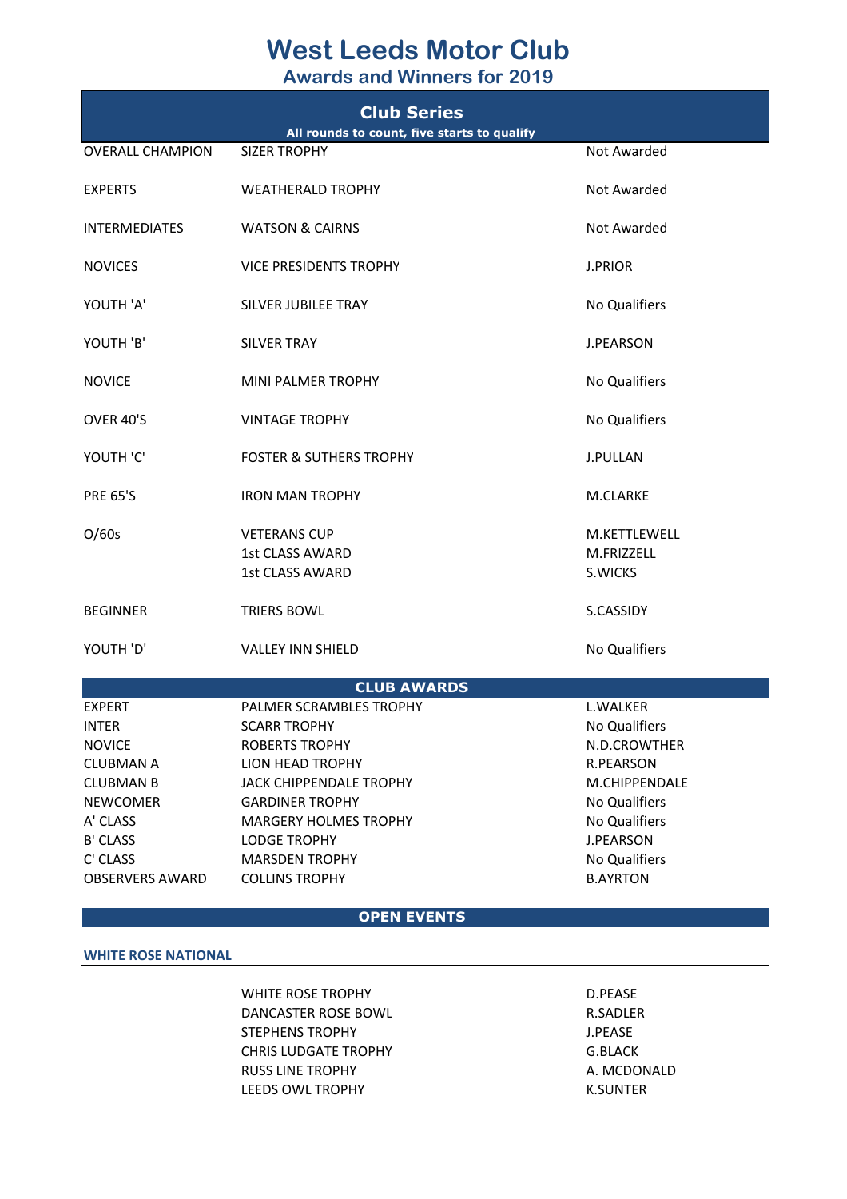## **West Leeds Motor Club**

**Awards and Winners for 2019**

| <b>Club Series</b><br>All rounds to count, five starts to qualify |                                                                         |                                       |  |
|-------------------------------------------------------------------|-------------------------------------------------------------------------|---------------------------------------|--|
| <b>OVERALL CHAMPION</b>                                           | <b>SIZER TROPHY</b>                                                     | Not Awarded                           |  |
| <b>EXPERTS</b>                                                    | <b>WEATHERALD TROPHY</b>                                                | Not Awarded                           |  |
| <b>INTERMEDIATES</b>                                              | <b>WATSON &amp; CAIRNS</b>                                              | Not Awarded                           |  |
| <b>NOVICES</b>                                                    | <b>VICE PRESIDENTS TROPHY</b>                                           | <b>J.PRIOR</b>                        |  |
| YOUTH 'A'                                                         | SILVER JUBILEE TRAY                                                     | No Qualifiers                         |  |
| YOUTH 'B'                                                         | <b>SILVER TRAY</b>                                                      | <b>J.PEARSON</b>                      |  |
| <b>NOVICE</b>                                                     | <b>MINI PALMER TROPHY</b>                                               | No Qualifiers                         |  |
| OVER 40'S                                                         | <b>VINTAGE TROPHY</b>                                                   | No Qualifiers                         |  |
| YOUTH 'C'                                                         | <b>FOSTER &amp; SUTHERS TROPHY</b>                                      | <b>J.PULLAN</b>                       |  |
| <b>PRE 65'S</b>                                                   | <b>IRON MAN TROPHY</b>                                                  | M.CLARKE                              |  |
| O/60s                                                             | <b>VETERANS CUP</b><br><b>1st CLASS AWARD</b><br><b>1st CLASS AWARD</b> | M.KETTLEWELL<br>M.FRIZZELL<br>S.WICKS |  |
| <b>BEGINNER</b>                                                   | <b>TRIERS BOWL</b>                                                      | S.CASSIDY                             |  |
| YOUTH 'D'                                                         | <b>VALLEY INN SHIELD</b>                                                | No Qualifiers                         |  |
|                                                                   | <b>CLUB AWARDS</b>                                                      |                                       |  |
| <b>EXPERT</b>                                                     | PALMER SCRAMBLES TROPHY                                                 | L.WALKER                              |  |
| <b>INTER</b>                                                      | <b>SCARR TROPHY</b>                                                     | <b>No Qualifiers</b>                  |  |
| <b>NOVICE</b>                                                     | <b>ROBERTS TROPHY</b>                                                   | N.D.CROWTHER                          |  |
| <b>CLUBMAN A</b>                                                  | LION HEAD TROPHY                                                        | R.PEARSON                             |  |
| <b>CLUBMAN B</b>                                                  | JACK CHIPPENDALE TROPHY                                                 | M.CHIPPENDALE                         |  |
| <b>NEWCOMER</b>                                                   | <b>GARDINER TROPHY</b>                                                  | No Qualifiers                         |  |
| A' CLASS                                                          | <b>MARGERY HOLMES TROPHY</b>                                            | No Qualifiers                         |  |
| <b>B' CLASS</b>                                                   | <b>LODGE TROPHY</b>                                                     | <b>J.PEARSON</b>                      |  |
| C' CLASS<br><b>OBSERVERS AWARD</b>                                | <b>MARSDEN TROPHY</b><br><b>COLLINS TROPHY</b>                          | No Qualifiers<br><b>B.AYRTON</b>      |  |

## **OPEN EVENTS**

## **WHITE ROSE NATIONAL**

WHITE ROSE TROPHY D.PEASE DANCASTER ROSE BOWL R.SADLER STEPHENS TROPHY **STEPHENS** TROPHY CHRIS LUDGATE TROPHY G.BLACK RUSS LINE TROPHY **A. MCDONALD** LEEDS OWL TROPHY THE RESOLUTION OF THE RESOLUTION OF THE RESOLUTION OF THE RESOLUTION OF THE RESOLUTION OF THE